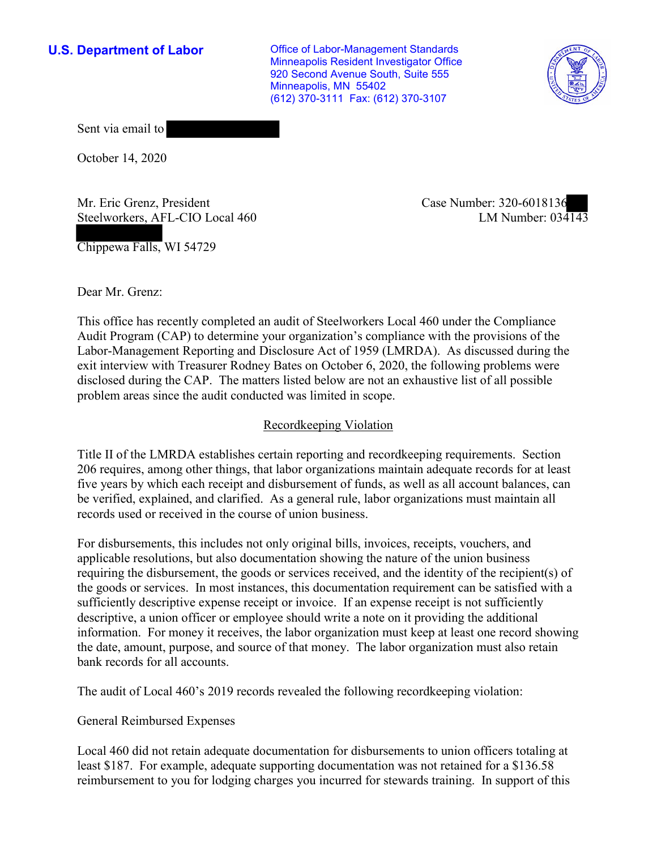**U.S. Department of Labor Conservative Conservative Conservative U.S.** Department of Labor Minneapolis Resident Investigator Office 920 Second Avenue South, Suite 555 Minneapolis, MN 55402 (612) 370-3111 Fax: (612) 370-3107



Sent via email to

October 14, 2020

Mr. Eric Grenz, President Case Number: 320-6018136 Steelworkers, AFL-CIO Local 460

Chippewa Falls, WI 54729

LM Number:  $03\overline{4143}$ 

Dear Mr. Grenz:

 This office has recently completed an audit of Steelworkers Local 460 under the Compliance Audit Program (CAP) to determine your organization's compliance with the provisions of the Labor-Management Reporting and Disclosure Act of 1959 (LMRDA). As discussed during the exit interview with Treasurer Rodney Bates on October 6, 2020, the following problems were disclosed during the CAP. The matters listed below are not an exhaustive list of all possible problem areas since the audit conducted was limited in scope.

### Recordkeeping Violation

 Title II of the LMRDA establishes certain reporting and recordkeeping requirements. Section 206 requires, among other things, that labor organizations maintain adequate records for at least five years by which each receipt and disbursement of funds, as well as all account balances, can be verified, explained, and clarified. As a general rule, labor organizations must maintain all records used or received in the course of union business.

For disbursements, this includes not only original bills, invoices, receipts, vouchers, and applicable resolutions, but also documentation showing the nature of the union business requiring the disbursement, the goods or services received, and the identity of the recipient(s) of the goods or services. In most instances, this documentation requirement can be satisfied with a sufficiently descriptive expense receipt or invoice. If an expense receipt is not sufficiently descriptive, a union officer or employee should write a note on it providing the additional information. For money it receives, the labor organization must keep at least one record showing the date, amount, purpose, and source of that money. The labor organization must also retain bank records for all accounts.

The audit of Local 460's 2019 records revealed the following recordkeeping violation:

#### **General Reimbursed Expenses**

 reimbursement to you for lodging charges you incurred for stewards training. In support of this Local 460 did not retain adequate documentation for disbursements to union officers totaling at least \$187. For example, adequate supporting documentation was not retained for a \$136.58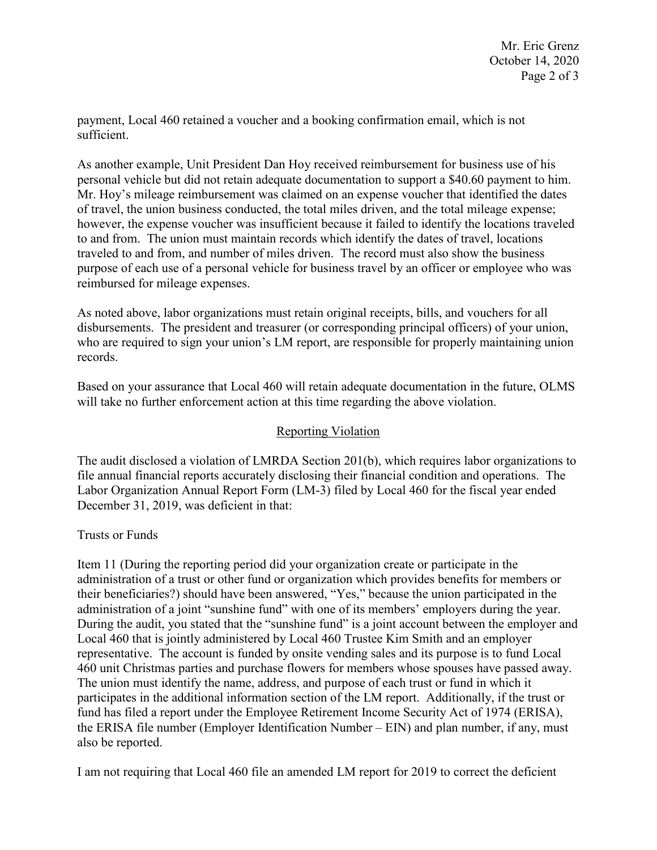payment, Local 460 retained a voucher and a booking confirmation email, which is not sufficient.

 purpose of each use of a personal vehicle for business travel by an officer or employee who was As another example, Unit President Dan Hoy received reimbursement for business use of his personal vehicle but did not retain adequate documentation to support a \$40.60 payment to him. Mr. Hoy's mileage reimbursement was claimed on an expense voucher that identified the dates of travel, the union business conducted, the total miles driven, and the total mileage expense; however, the expense voucher was insufficient because it failed to identify the locations traveled to and from. The union must maintain records which identify the dates of travel, locations traveled to and from, and number of miles driven. The record must also show the business reimbursed for mileage expenses.

 who are required to sign your union's LM report, are responsible for properly maintaining union As noted above, labor organizations must retain original receipts, bills, and vouchers for all disbursements. The president and treasurer (or corresponding principal officers) of your union, records.

 Based on your assurance that Local 460 will retain adequate documentation in the future, OLMS will take no further enforcement action at this time regarding the above violation.

# Reporting Violation

 Labor Organization Annual Report Form (LM-3) filed by Local 460 for the fiscal year ended The audit disclosed a violation of LMRDA Section 201(b), which requires labor organizations to file annual financial reports accurately disclosing their financial condition and operations. The December 31, 2019, was deficient in that:

## Trusts or Funds

 administration of a joint "sunshine fund" with one of its members' employers during the year. participates in the additional information section of the LM report. Additionally, if the trust or Item 11 (During the reporting period did your organization create or participate in the administration of a trust or other fund or organization which provides benefits for members or their beneficiaries?) should have been answered, "Yes," because the union participated in the During the audit, you stated that the "sunshine fund" is a joint account between the employer and Local 460 that is jointly administered by Local 460 Trustee Kim Smith and an employer representative. The account is funded by onsite vending sales and its purpose is to fund Local 460 unit Christmas parties and purchase flowers for members whose spouses have passed away. The union must identify the name, address, and purpose of each trust or fund in which it fund has filed a report under the Employee Retirement Income Security Act of 1974 (ERISA), the ERISA file number (Employer Identification Number – EIN) and plan number, if any, must also be reported.

I am not requiring that Local 460 file an amended LM report for 2019 to correct the deficient